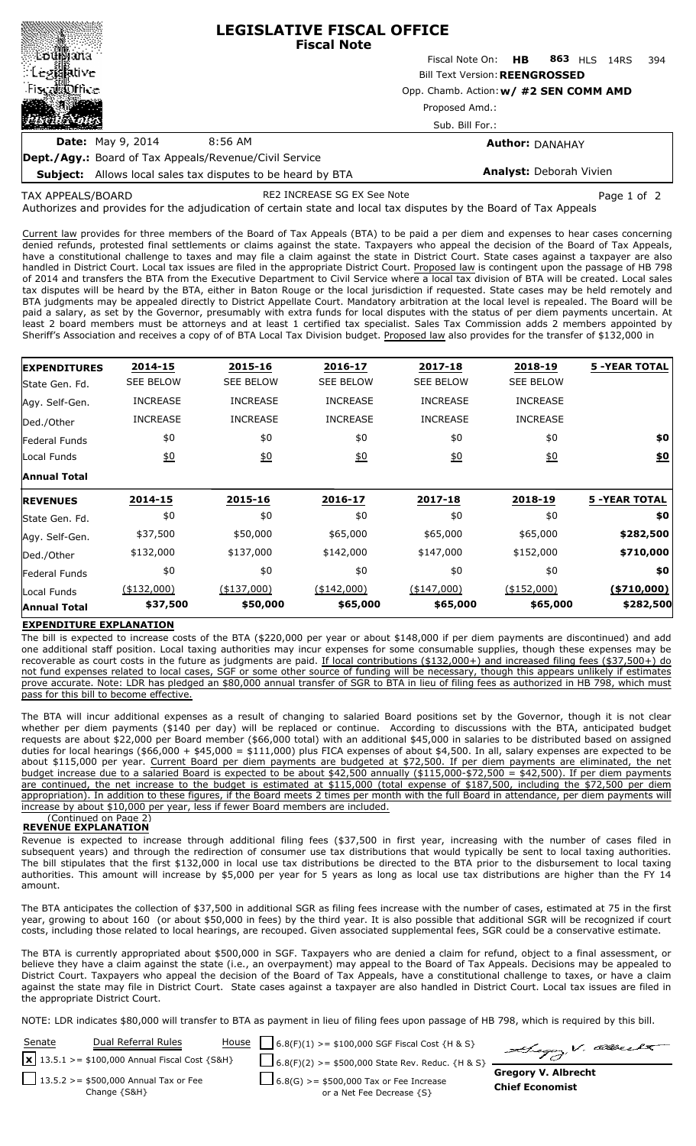|                                                               | <b>LEGISLATIVE FISCAL OFFICE</b><br><b>Fiscal Note</b> |                                                                                                   |                 |       |  |  |
|---------------------------------------------------------------|--------------------------------------------------------|---------------------------------------------------------------------------------------------------|-----------------|-------|--|--|
|                                                               |                                                        | Fiscal Note On: <b>HB</b>                                                                         | 863 HLS<br>14RS | - 394 |  |  |
| ं Leg⊠ative                                                   |                                                        | <b>Bill Text Version: REENGROSSED</b><br>Opp. Chamb. Action: w/ #2 SEN COMM AMD<br>Proposed Amd.: |                 |       |  |  |
| Fiscal office                                                 |                                                        |                                                                                                   |                 |       |  |  |
| <b>ASSA</b>                                                   |                                                        |                                                                                                   |                 |       |  |  |
|                                                               |                                                        | Sub. Bill For.:                                                                                   |                 |       |  |  |
| <b>Date:</b> May 9, 2014                                      | 8:56 AM                                                | <b>Author: DANAHAY</b>                                                                            |                 |       |  |  |
| <b>Dept./Agy.:</b> Board of Tax Appeals/Revenue/Civil Service |                                                        |                                                                                                   |                 |       |  |  |

**Subject:** Allows local sales tax disputes to be heard by BTA

**Analyst:** Deborah Vivien

Authorizes and provides for the adjudication of certain state and local tax disputes by the Board of Tax Appeals TAX APPEALS/BOARD RE2 INCREASE SG EX See Note Page 1 of 2

Current law provides for three members of the Board of Tax Appeals (BTA) to be paid a per diem and expenses to hear cases concerning denied refunds, protested final settlements or claims against the state. Taxpayers who appeal the decision of the Board of Tax Appeals, have a constitutional challenge to taxes and may file a claim against the state in District Court. State cases against a taxpayer are also handled in District Court. Local tax issues are filed in the appropriate District Court. Proposed law is contingent upon the passage of HB 798 of 2014 and transfers the BTA from the Executive Department to Civil Service where a local tax division of BTA will be created. Local sales tax disputes will be heard by the BTA, either in Baton Rouge or the local jurisdiction if requested. State cases may be held remotely and BTA judgments may be appealed directly to District Appellate Court. Mandatory arbitration at the local level is repealed. The Board will be paid a salary, as set by the Governor, presumably with extra funds for local disputes with the status of per diem payments uncertain. At least 2 board members must be attorneys and at least 1 certified tax specialist. Sales Tax Commission adds 2 members appointed by Sheriff's Association and receives a copy of of BTA Local Tax Division budget. Proposed law also provides for the transfer of \$132,000 in

| <b>EXPENDITURES</b>  | 2014-15          | 2015-16          | 2016-17          | 2017-18          | 2018-19          | <b>5 -YEAR TOTAL</b> |
|----------------------|------------------|------------------|------------------|------------------|------------------|----------------------|
| State Gen. Fd.       | <b>SEE BELOW</b> | <b>SEE BELOW</b> | <b>SEE BELOW</b> | <b>SEE BELOW</b> | <b>SEE BELOW</b> |                      |
| Agy. Self-Gen.       | <b>INCREASE</b>  | <b>INCREASE</b>  | <b>INCREASE</b>  | <b>INCREASE</b>  | <b>INCREASE</b>  |                      |
| Ded./Other           | <b>INCREASE</b>  | <b>INCREASE</b>  | <b>INCREASE</b>  | <b>INCREASE</b>  | <b>INCREASE</b>  |                      |
| <b>Federal Funds</b> | \$0              | \$0              | \$0              | \$0              | \$0              | \$0                  |
| Local Funds          | 60               | 60               | 60               | 60               | 60               | \$0                  |
| <b>Annual Total</b>  |                  |                  |                  |                  |                  |                      |
| <b>REVENUES</b>      | 2014-15          | 2015-16          | 2016-17          | 2017-18          | 2018-19          | <b>5 -YEAR TOTAL</b> |
| State Gen. Fd.       | \$0              | \$0              | \$0              | \$0              | \$0              | \$0                  |
| Agy. Self-Gen.       | \$37,500         | \$50,000         | \$65,000         | \$65,000         | \$65,000         | \$282,500            |
| Ded./Other           | \$132,000        | \$137,000        | \$142,000        | \$147,000        | \$152,000        | \$710,000            |
| Federal Funds        | \$0              | \$0              | \$0              | \$0              | \$0              | \$0                  |
| Local Funds          | (\$132,000)      | $(*137,000)$     | (\$142,000)      | (\$147,000)      | $(*152,000)$     | ( \$710,000]         |
| <b>Annual Total</b>  | \$37,500         | \$50,000         | \$65,000         | \$65,000         | \$65,000         | \$282,500            |

## **EXPENDITURE EXPLANATION**

The bill is expected to increase costs of the BTA (\$220,000 per year or about \$148,000 if per diem payments are discontinued) and add one additional staff position. Local taxing authorities may incur expenses for some consumable supplies, though these expenses may be recoverable as court costs in the future as judgments are paid. If local contributions (\$132,000+) and increased filing fees (\$37,500+) do not fund expenses related to local cases, SGF or some other source of funding will be necessary, though this appears unlikely if estimates prove accurate. Note: LDR has pledged an \$80,000 annual transfer of SGR to BTA in lieu of filing fees as authorized in HB 798, which must pass for this bill to become effective.

The BTA will incur additional expenses as a result of changing to salaried Board positions set by the Governor, though it is not clear whether per diem payments (\$140 per day) will be replaced or continue. According to discussions with the BTA, anticipated budget requests are about \$22,000 per Board member (\$66,000 total) with an additional \$45,000 in salaries to be distributed based on assigned duties for local hearings (\$66,000 + \$45,000 = \$111,000) plus FICA expenses of about \$4,500. In all, salary expenses are expected to be about \$115,000 per year. Current Board per diem payments are budgeted at \$72,500. If per diem payments are eliminated, the net budget increase due to a salaried Board is expected to be about \$42,500 annually (\$115,000-\$72,500 = \$42,500). If per diem payments are continued, the net increase to the budget is estimated at \$115,000 (total expense of \$187,500, including the \$72,500 per diem appropriation). In addition to these figures, if the Board meets 2 times per month with the full Board in attendance, per diem payments will increase by about \$10,000 per year, less if fewer Board members are included. (

#### (Continued on Page 2) **REVENUE EXPLANATION**

Revenue is expected to increase through additional filing fees (\$37,500 in first year, increasing with the number of cases filed in subsequent years) and through the redirection of consumer use tax distributions that would typically be sent to local taxing authorities. The bill stipulates that the first \$132,000 in local use tax distributions be directed to the BTA prior to the disbursement to local taxing authorities. This amount will increase by \$5,000 per year for 5 years as long as local use tax distributions are higher than the FY 14 amount.

The BTA anticipates the collection of \$37,500 in additional SGR as filing fees increase with the number of cases, estimated at 75 in the first year, growing to about 160 (or about \$50,000 in fees) by the third year. It is also possible that additional SGR will be recognized if court costs, including those related to local hearings, are recouped. Given associated supplemental fees, SGR could be a conservative estimate.

The BTA is currently appropriated about \$500,000 in SGF. Taxpayers who are denied a claim for refund, object to a final assessment, or believe they have a claim against the state (i.e., an overpayment) may appeal to the Board of Tax Appeals. Decisions may be appealed to District Court. Taxpayers who appeal the decision of the Board of Tax Appeals, have a constitutional challenge to taxes, or have a claim against the state may file in District Court. State cases against a taxpayer are also handled in District Court. Local tax issues are filed in the appropriate District Court.

NOTE: LDR indicates \$80,000 will transfer to BTA as payment in lieu of filing fees upon passage of HB 798, which is required by this bill.

| Senate | Dual Referral Rules                                    | <u>House</u>   $6.8(F)(1)$ > = \$100,000 SGF Fiscal Cost {H & S}            | Sugar V. allerkt                                     |
|--------|--------------------------------------------------------|-----------------------------------------------------------------------------|------------------------------------------------------|
|        | $x$ 13.5.1 > = \$100,000 Annual Fiscal Cost {S&H}      | $\Box$ 6.8(F)(2) >= \$500,000 State Rev. Reduc. {H & S}                     |                                                      |
|        | 13.5.2 > = \$500,000 Annual Tax or Fee<br>Change {S&H} | $\Box$ 6.8(G) >= \$500,000 Tax or Fee Increase<br>or a Net Fee Decrease {S} | <b>Gregory V. Albrecht</b><br><b>Chief Economist</b> |